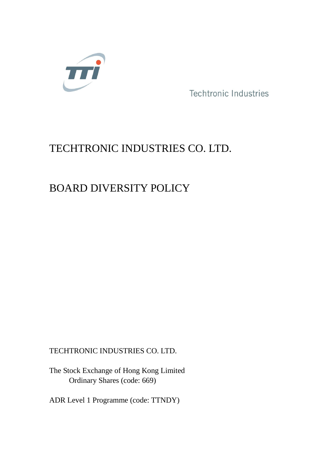

Techtronic Industries

# TECHTRONIC INDUSTRIES CO. LTD.

# BOARD DIVERSITY POLICY

TECHTRONIC INDUSTRIES CO. LTD.

The Stock Exchange of Hong Kong Limited Ordinary Shares (code: 669)

ADR Level 1 Programme (code: TTNDY)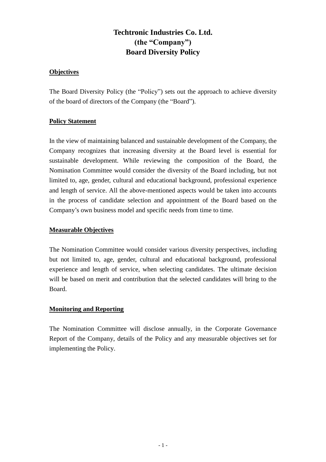## **Techtronic Industries Co. Ltd. (the "Company") Board Diversity Policy**

### **Objectives**

The Board Diversity Policy (the "Policy") sets out the approach to achieve diversity of the board of directors of the Company (the "Board").

#### **Policy Statement**

In the view of maintaining balanced and sustainable development of the Company, the Company recognizes that increasing diversity at the Board level is essential for sustainable development. While reviewing the composition of the Board, the Nomination Committee would consider the diversity of the Board including, but not limited to, age, gender, cultural and educational background, professional experience and length of service. All the above-mentioned aspects would be taken into accounts in the process of candidate selection and appointment of the Board based on the Company's own business model and specific needs from time to time.

#### **Measurable Objectives**

The Nomination Committee would consider various diversity perspectives, including but not limited to, age, gender, cultural and educational background, professional experience and length of service, when selecting candidates. The ultimate decision will be based on merit and contribution that the selected candidates will bring to the Board.

#### **Monitoring and Reporting**

The Nomination Committee will disclose annually, in the Corporate Governance Report of the Company, details of the Policy and any measurable objectives set for implementing the Policy.